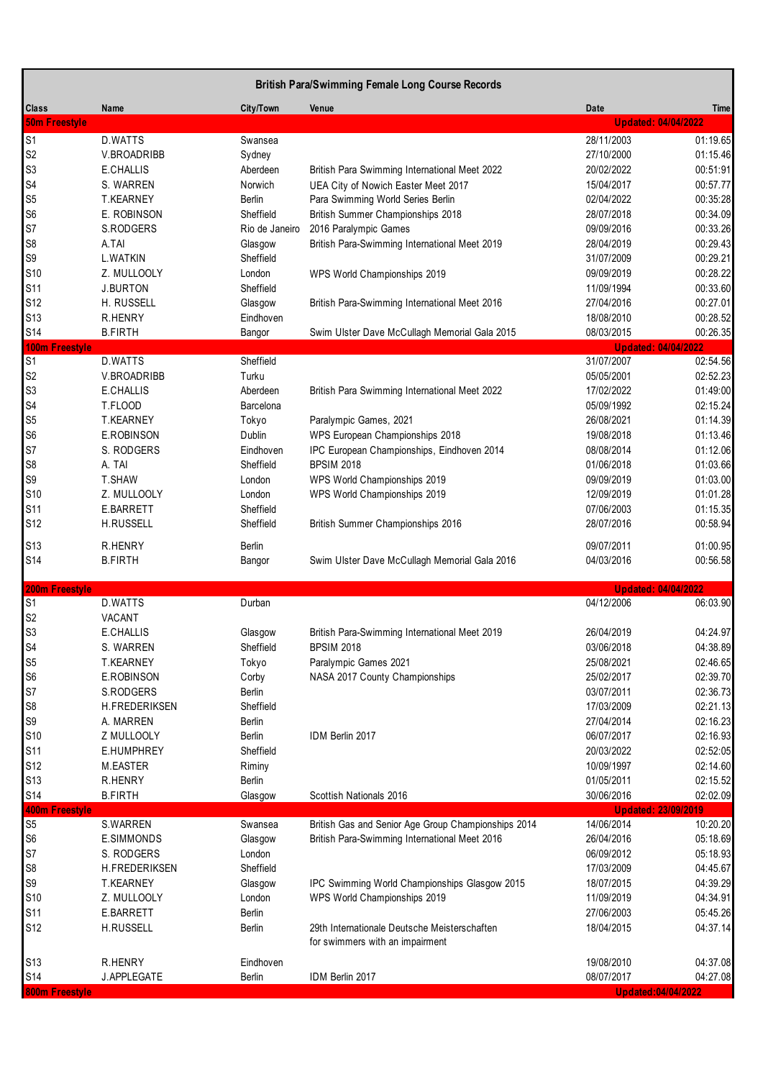|                                         | <b>British Para/Swimming Female Long Course Records</b> |                     |                                                     |                                          |                      |  |  |
|-----------------------------------------|---------------------------------------------------------|---------------------|-----------------------------------------------------|------------------------------------------|----------------------|--|--|
| <b>Class</b>                            | Name                                                    | City/Town           | Venue                                               | Date                                     | Time                 |  |  |
| <b>50m Freestyle</b>                    |                                                         |                     |                                                     | <b>Updated: 04/04/2022</b>               |                      |  |  |
| S <sub>1</sub>                          | D.WATTS                                                 | Swansea             |                                                     | 28/11/2003                               | 01:19.65             |  |  |
| S <sub>2</sub>                          | V.BROADRIBB                                             | Sydney              |                                                     | 27/10/2000                               | 01:15.46             |  |  |
| S <sub>3</sub>                          | E.CHALLIS                                               | Aberdeen            | British Para Swimming International Meet 2022       | 20/02/2022                               | 00:51:91             |  |  |
| S4                                      | S. WARREN                                               | Norwich             | UEA City of Nowich Easter Meet 2017                 | 15/04/2017                               | 00:57.77             |  |  |
| S <sub>5</sub>                          | <b>T.KEARNEY</b>                                        | Berlin              | Para Swimming World Series Berlin                   | 02/04/2022                               | 00:35:28             |  |  |
| S <sub>6</sub>                          | E. ROBINSON                                             | Sheffield           | British Summer Championships 2018                   | 28/07/2018                               | 00:34.09             |  |  |
| S7                                      | S.RODGERS                                               | Rio de Janeiro      | 2016 Paralympic Games                               | 09/09/2016                               | 00:33.26             |  |  |
| S <sub>8</sub>                          | A.TAI                                                   | Glasgow             | British Para-Swimming International Meet 2019       | 28/04/2019                               | 00:29.43             |  |  |
| S9                                      | <b>L.WATKIN</b>                                         | Sheffield           |                                                     | 31/07/2009                               | 00:29.21             |  |  |
| S10                                     | Z. MULLOOLY                                             | London              | WPS World Championships 2019                        | 09/09/2019                               | 00:28.22             |  |  |
| S11                                     | <b>J.BURTON</b>                                         | Sheffield           |                                                     | 11/09/1994                               | 00:33.60             |  |  |
| S12                                     | H. RUSSELL                                              | Glasgow             | British Para-Swimming International Meet 2016       | 27/04/2016                               | 00:27.01             |  |  |
| S <sub>13</sub>                         | <b>R.HENRY</b>                                          | Eindhoven           |                                                     | 18/08/2010                               | 00:28.52             |  |  |
| S14                                     | <b>B.FIRTH</b>                                          | Bangor              | Swim Ulster Dave McCullagh Memorial Gala 2015       | 08/03/2015                               | 00:26.35             |  |  |
| <b>100m Freestyle</b><br>S <sub>1</sub> | D.WATTS                                                 | Sheffield           |                                                     | <b>Updated: 04/04/2022</b><br>31/07/2007 | 02:54.56             |  |  |
| S <sub>2</sub>                          | V.BROADRIBB                                             | Turku               |                                                     | 05/05/2001                               | 02:52.23             |  |  |
| S <sub>3</sub>                          | E.CHALLIS                                               | Aberdeen            | British Para Swimming International Meet 2022       | 17/02/2022                               | 01:49:00             |  |  |
| S <sub>4</sub>                          | T.FLOOD                                                 | Barcelona           |                                                     | 05/09/1992                               | 02:15.24             |  |  |
| S <sub>5</sub>                          | <b>T.KEARNEY</b>                                        | Tokyo               | Paralympic Games, 2021                              | 26/08/2021                               | 01:14.39             |  |  |
| S <sub>6</sub>                          | E.ROBINSON                                              | Dublin              | WPS European Championships 2018                     | 19/08/2018                               | 01:13.46             |  |  |
| S7                                      | S. RODGERS                                              | Eindhoven           | IPC European Championships, Eindhoven 2014          | 08/08/2014                               | 01:12.06             |  |  |
| S <sub>8</sub>                          | A. TAI                                                  | Sheffield           | <b>BPSIM 2018</b>                                   | 01/06/2018                               | 01:03.66             |  |  |
| S9                                      | T.SHAW                                                  | London              | WPS World Championships 2019                        | 09/09/2019                               | 01:03.00             |  |  |
| S10                                     | Z. MULLOOLY                                             | London              | WPS World Championships 2019                        | 12/09/2019                               | 01:01.28             |  |  |
| S11                                     | E.BARRETT                                               | Sheffield           |                                                     | 07/06/2003                               | 01:15.35             |  |  |
| S <sub>12</sub>                         | <b>H.RUSSELL</b>                                        | Sheffield           | British Summer Championships 2016                   | 28/07/2016                               | 00:58.94             |  |  |
|                                         |                                                         |                     |                                                     |                                          |                      |  |  |
| S13                                     | <b>R.HENRY</b>                                          | Berlin              |                                                     | 09/07/2011                               | 01:00.95             |  |  |
| S14                                     | <b>B.FIRTH</b>                                          | Bangor              | Swim Ulster Dave McCullagh Memorial Gala 2016       | 04/03/2016                               | 00:56.58             |  |  |
| 200m Freestyle                          |                                                         |                     |                                                     | <b>Updated: 04/04/2022</b>               |                      |  |  |
| S <sub>1</sub>                          | D.WATTS                                                 | Durban              |                                                     | 04/12/2006                               | 06:03.90             |  |  |
| S <sub>2</sub>                          | VACANT                                                  |                     |                                                     |                                          |                      |  |  |
| S <sub>3</sub>                          | E.CHALLIS                                               | Glasgow             | British Para-Swimming International Meet 2019       | 26/04/2019                               | 04:24.97             |  |  |
| S <sub>4</sub>                          | S. WARREN                                               | Sheffield           | <b>BPSIM 2018</b>                                   | 03/06/2018                               | 04:38.89             |  |  |
| S <sub>5</sub>                          | <b>T.KEARNEY</b>                                        | Tokyo               | Paralympic Games 2021                               | 25/08/2021                               | 02:46.65             |  |  |
| S <sub>6</sub>                          | E.ROBINSON                                              | Corby               | NASA 2017 County Championships                      | 25/02/2017                               | 02:39.70             |  |  |
| S7                                      | S.RODGERS                                               | <b>Berlin</b>       |                                                     | 03/07/2011                               | 02:36.73             |  |  |
| S <sub>8</sub>                          | H.FREDERIKSEN                                           | Sheffield           |                                                     | 17/03/2009                               | 02:21.13             |  |  |
| S9                                      | A. MARREN                                               | Berlin              |                                                     | 27/04/2014                               | 02:16.23             |  |  |
| S10                                     | Z MULLOOLY                                              | Berlin              | IDM Berlin 2017                                     | 06/07/2017                               | 02:16.93             |  |  |
| S11                                     | E.HUMPHREY                                              | Sheffield           |                                                     | 20/03/2022                               | 02:52:05             |  |  |
| S12                                     | M.EASTER                                                | Riminy              |                                                     | 10/09/1997                               | 02:14.60             |  |  |
| S <sub>13</sub>                         | R.HENRY                                                 | Berlin              |                                                     | 01/05/2011                               | 02:15.52             |  |  |
| S14                                     | <b>B.FIRTH</b>                                          | Glasgow             | Scottish Nationals 2016                             | 30/06/2016                               | 02:02.09             |  |  |
| 400m Freestyle                          |                                                         |                     |                                                     | <b>Updated: 23/09/2019</b>               |                      |  |  |
| S <sub>5</sub><br>S <sub>6</sub>        | S.WARREN                                                | Swansea             | British Gas and Senior Age Group Championships 2014 | 14/06/2014                               | 10:20.20             |  |  |
| S7                                      | E.SIMMONDS                                              | Glasgow             | British Para-Swimming International Meet 2016       | 26/04/2016                               | 05:18.69             |  |  |
| S <sub>8</sub>                          | S. RODGERS<br>H.FREDERIKSEN                             | London<br>Sheffield |                                                     | 06/09/2012<br>17/03/2009                 | 05:18.93<br>04:45.67 |  |  |
| S9                                      | <b>T.KEARNEY</b>                                        |                     | IPC Swimming World Championships Glasgow 2015       | 18/07/2015                               | 04:39.29             |  |  |
| S10                                     | Z. MULLOOLY                                             | Glasgow<br>London   | WPS World Championships 2019                        | 11/09/2019                               | 04:34.91             |  |  |
| S11                                     | E.BARRETT                                               | Berlin              |                                                     | 27/06/2003                               | 05:45.26             |  |  |
| S <sub>12</sub>                         | H.RUSSELL                                               | Berlin              | 29th Internationale Deutsche Meisterschaften        | 18/04/2015                               | 04:37.14             |  |  |
|                                         |                                                         |                     | for swimmers with an impairment                     |                                          |                      |  |  |
|                                         |                                                         |                     |                                                     |                                          |                      |  |  |
| S <sub>13</sub>                         | <b>R.HENRY</b>                                          | Eindhoven           |                                                     | 19/08/2010                               | 04:37.08             |  |  |
| S14                                     | J.APPLEGATE                                             | Berlin              | IDM Berlin 2017                                     | 08/07/2017                               | 04:27.08             |  |  |
| 800m Freestyle                          |                                                         |                     |                                                     | <b>Updated:04/04/2022</b>                |                      |  |  |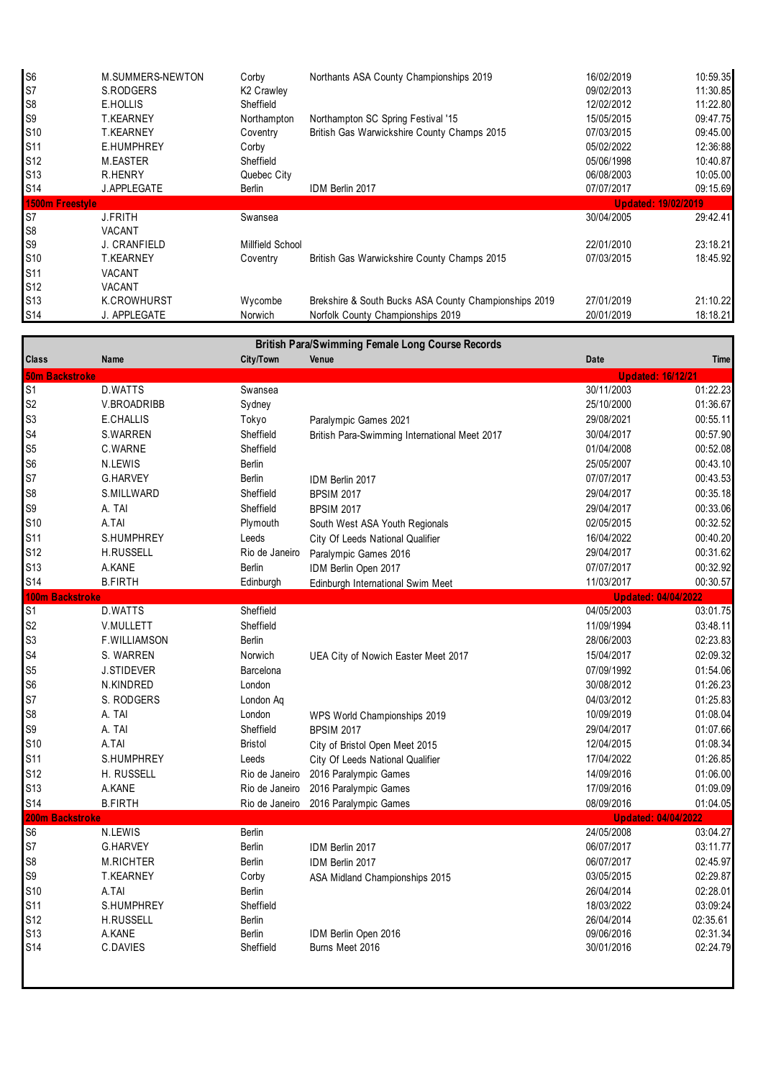| S <sub>6</sub>  | M.SUMMERS-NEWTON   | Corby                  | Northants ASA County Championships 2019               | 16/02/2019                 | 10:59.35 |
|-----------------|--------------------|------------------------|-------------------------------------------------------|----------------------------|----------|
| S7              | S.RODGERS          | K <sub>2</sub> Crawley |                                                       | 09/02/2013                 | 11:30.85 |
| S <sub>8</sub>  | E.HOLLIS           | Sheffield              |                                                       | 12/02/2012                 | 11:22.80 |
| S <sub>9</sub>  | <b>T.KEARNEY</b>   | Northampton            | Northampton SC Spring Festival '15                    | 15/05/2015                 | 09:47.75 |
| S10             | <b>T.KEARNEY</b>   | Coventry               | British Gas Warwickshire County Champs 2015           | 07/03/2015                 | 09:45.00 |
| <b>S11</b>      | E.HUMPHREY         | Corby                  |                                                       | 05/02/2022                 | 12:36:88 |
| <b>S12</b>      | M.EASTER           | Sheffield              |                                                       | 05/06/1998                 | 10:40.87 |
| S <sub>13</sub> | R.HENRY            | Quebec City            |                                                       | 06/08/2003                 | 10:05.00 |
| <b>S14</b>      | <b>J.APPLEGATE</b> | <b>Berlin</b>          | IDM Berlin 2017                                       | 07/07/2017                 | 09:15.69 |
| 1500m Freestyle |                    |                        |                                                       | <b>Updated: 19/02/2019</b> |          |
| S7              | <b>J.FRITH</b>     | Swansea                |                                                       | 30/04/2005                 | 29:42.41 |
| S <sub>8</sub>  | VACANT             |                        |                                                       |                            |          |
| S <sub>9</sub>  | J. CRANFIELD       | Millfield School       |                                                       | 22/01/2010                 | 23:18.21 |
| S10             | <b>T.KEARNEY</b>   | Coventry               | British Gas Warwickshire County Champs 2015           | 07/03/2015                 | 18:45.92 |
| <b>S11</b>      | <b>VACANT</b>      |                        |                                                       |                            |          |
| <b>S12</b>      | <b>VACANT</b>      |                        |                                                       |                            |          |
| <b>S13</b>      | K.CROWHURST        | Wycombe                | Brekshire & South Bucks ASA County Championships 2019 | 27/01/2019                 | 21:10.22 |
| <b>S14</b>      | J. APPLEGATE       | Norwich                | Norfolk County Championships 2019                     | 20/01/2019                 | 18:18.21 |

|                        |                   |                |                                               | <b>British Para/Swimming Female Long Course Records</b> |             |  |  |  |  |  |
|------------------------|-------------------|----------------|-----------------------------------------------|---------------------------------------------------------|-------------|--|--|--|--|--|
| <b>Class</b>           | Name              | City/Town      | Venue                                         | Date                                                    | <b>Time</b> |  |  |  |  |  |
| <b>50m Backstroke</b>  |                   |                |                                               | <b>Updated: 16/12/21</b>                                |             |  |  |  |  |  |
| S <sub>1</sub>         | D.WATTS           | Swansea        |                                               | 30/11/2003                                              | 01:22.23    |  |  |  |  |  |
| S <sub>2</sub>         | V.BROADRIBB       | Sydney         |                                               | 25/10/2000                                              | 01:36.67    |  |  |  |  |  |
| S <sub>3</sub>         | E.CHALLIS         | Tokyo          | Paralympic Games 2021                         | 29/08/2021                                              | 00:55.11    |  |  |  |  |  |
| S <sub>4</sub>         | S.WARREN          | Sheffield      | British Para-Swimming International Meet 2017 | 30/04/2017                                              | 00:57.90    |  |  |  |  |  |
| S <sub>5</sub>         | C.WARNE           | Sheffield      |                                               | 01/04/2008                                              | 00:52.08    |  |  |  |  |  |
| S <sub>6</sub>         | N.LEWIS           | <b>Berlin</b>  |                                               | 25/05/2007                                              | 00:43.10    |  |  |  |  |  |
| S7                     | <b>G.HARVEY</b>   | <b>Berlin</b>  | IDM Berlin 2017                               | 07/07/2017                                              | 00:43.53    |  |  |  |  |  |
| S <sub>8</sub>         | S.MILLWARD        | Sheffield      | <b>BPSIM 2017</b>                             | 29/04/2017                                              | 00:35.18    |  |  |  |  |  |
| S9                     | A. TAI            | Sheffield      | <b>BPSIM 2017</b>                             | 29/04/2017                                              | 00:33.06    |  |  |  |  |  |
| S10                    | A.TAI             | Plymouth       | South West ASA Youth Regionals                | 02/05/2015                                              | 00:32.52    |  |  |  |  |  |
| S11                    | S.HUMPHREY        | Leeds          | City Of Leeds National Qualifier              | 16/04/2022                                              | 00:40.20    |  |  |  |  |  |
| S12                    | <b>H.RUSSELL</b>  | Rio de Janeiro | Paralympic Games 2016                         | 29/04/2017                                              | 00:31.62    |  |  |  |  |  |
| S <sub>13</sub>        | A.KANE            | <b>Berlin</b>  | IDM Berlin Open 2017                          | 07/07/2017                                              | 00:32.92    |  |  |  |  |  |
| S14                    | <b>B.FIRTH</b>    | Edinburgh      | Edinburgh International Swim Meet             | 11/03/2017                                              | 00:30.57    |  |  |  |  |  |
| <b>100m Backstroke</b> |                   |                |                                               | <b>Updated: 04/04/2022</b>                              |             |  |  |  |  |  |
| $\overline{S1}$        | D.WATTS           | Sheffield      |                                               | 04/05/2003                                              | 03:01.75    |  |  |  |  |  |
| S <sub>2</sub>         | V.MULLETT         | Sheffield      |                                               | 11/09/1994                                              | 03:48.11    |  |  |  |  |  |
| S <sub>3</sub>         | F.WILLIAMSON      | Berlin         |                                               | 28/06/2003                                              | 02:23.83    |  |  |  |  |  |
| S4                     | S. WARREN         | Norwich        | UEA City of Nowich Easter Meet 2017           | 15/04/2017                                              | 02:09.32    |  |  |  |  |  |
| S <sub>5</sub>         | <b>J.STIDEVER</b> | Barcelona      |                                               | 07/09/1992                                              | 01:54.06    |  |  |  |  |  |
| S <sub>6</sub>         | N.KINDRED         | London         |                                               | 30/08/2012                                              | 01:26.23    |  |  |  |  |  |
| S7                     | S. RODGERS        | London Aq      |                                               | 04/03/2012                                              | 01:25.83    |  |  |  |  |  |
| S <sub>8</sub>         | A. TAI            | London         | WPS World Championships 2019                  | 10/09/2019                                              | 01:08.04    |  |  |  |  |  |
| S9                     | A. TAI            | Sheffield      | <b>BPSIM 2017</b>                             | 29/04/2017                                              | 01:07.66    |  |  |  |  |  |
| S10                    | A.TAI             | <b>Bristol</b> | City of Bristol Open Meet 2015                | 12/04/2015                                              | 01:08.34    |  |  |  |  |  |
| S11                    | S.HUMPHREY        | Leeds          | City Of Leeds National Qualifier              | 17/04/2022                                              | 01:26.85    |  |  |  |  |  |
| S12                    | H. RUSSELL        | Rio de Janeiro | 2016 Paralympic Games                         | 14/09/2016                                              | 01:06.00    |  |  |  |  |  |
| S13                    | A.KANE            | Rio de Janeiro | 2016 Paralympic Games                         | 17/09/2016                                              | 01:09.09    |  |  |  |  |  |
| S14                    | <b>B.FIRTH</b>    |                | Rio de Janeiro 2016 Paralympic Games          | 08/09/2016                                              | 01:04.05    |  |  |  |  |  |
| 200m Backstroke        |                   |                |                                               | <b>Updated: 04/04/2022</b>                              |             |  |  |  |  |  |
| S <sub>6</sub>         | N.LEWIS           | Berlin         |                                               | 24/05/2008                                              | 03:04.27    |  |  |  |  |  |
| S7                     | <b>G.HARVEY</b>   | Berlin         | IDM Berlin 2017                               | 06/07/2017                                              | 03:11.77    |  |  |  |  |  |
| S <sub>8</sub>         | <b>M.RICHTER</b>  | Berlin         | IDM Berlin 2017                               | 06/07/2017                                              | 02:45.97    |  |  |  |  |  |
| S9                     | <b>T.KEARNEY</b>  | Corby          | ASA Midland Championships 2015                | 03/05/2015                                              | 02:29.87    |  |  |  |  |  |
| S10                    | A.TAI             | Berlin         |                                               | 26/04/2014                                              | 02:28.01    |  |  |  |  |  |
| S <sub>11</sub>        | S.HUMPHREY        | Sheffield      |                                               | 18/03/2022                                              | 03:09:24    |  |  |  |  |  |
| S12                    | H.RUSSELL         | <b>Berlin</b>  |                                               | 26/04/2014                                              | 02:35.61    |  |  |  |  |  |
| S <sub>13</sub>        | A.KANE            | <b>Berlin</b>  | IDM Berlin Open 2016                          | 09/06/2016                                              | 02:31.34    |  |  |  |  |  |
| <b>S14</b>             | C.DAVIES          | Sheffield      | Burns Meet 2016                               | 30/01/2016                                              | 02:24.79    |  |  |  |  |  |
|                        |                   |                |                                               |                                                         |             |  |  |  |  |  |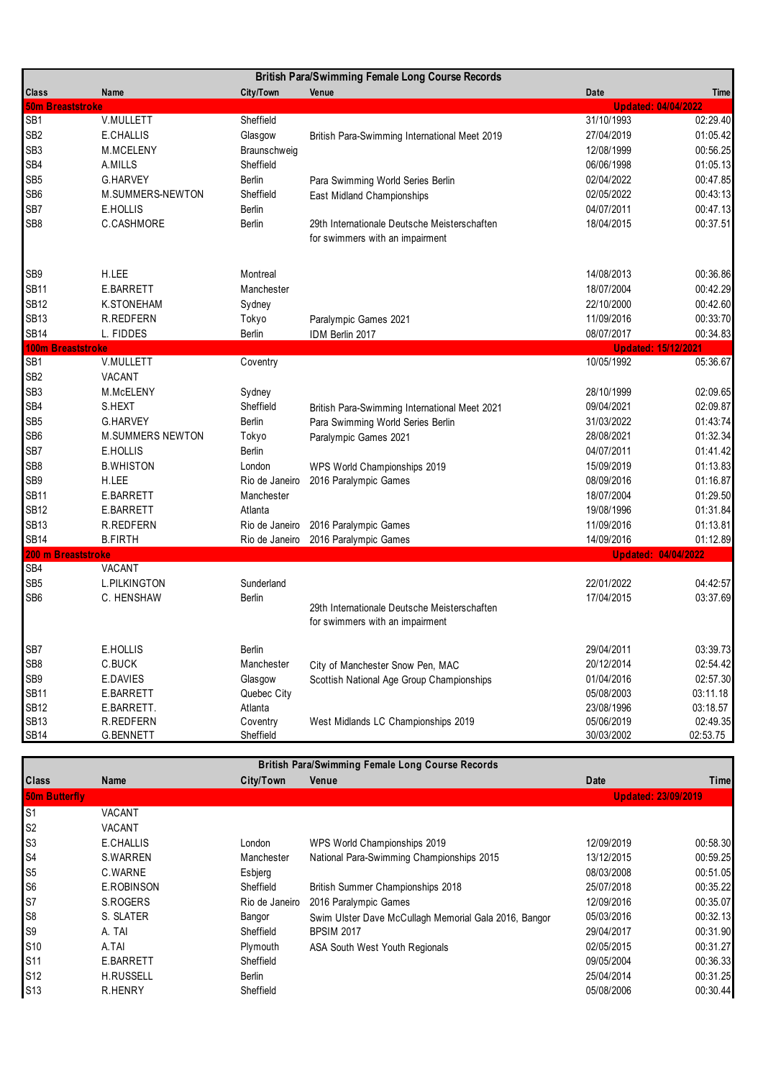|                         |                         |                | <b>British Para/Swimming Female Long Course Records</b>                         |                            |          |
|-------------------------|-------------------------|----------------|---------------------------------------------------------------------------------|----------------------------|----------|
| <b>Class</b>            | Name                    | City/Town      | Venue                                                                           | Date                       | Time     |
| <b>50m Breaststroke</b> |                         |                |                                                                                 | <b>Updated: 04/04/2022</b> |          |
| SB <sub>1</sub>         | V.MULLETT               | Sheffield      |                                                                                 | 31/10/1993                 | 02:29.40 |
| SB <sub>2</sub>         | E.CHALLIS               | Glasgow        | British Para-Swimming International Meet 2019                                   | 27/04/2019                 | 01:05.42 |
| SB <sub>3</sub>         | M.MCELENY               | Braunschweig   |                                                                                 | 12/08/1999                 | 00:56.25 |
| SB4                     | A.MILLS                 | Sheffield      |                                                                                 | 06/06/1998                 | 01:05.13 |
| SB <sub>5</sub>         | <b>G.HARVEY</b>         | <b>Berlin</b>  | Para Swimming World Series Berlin                                               | 02/04/2022                 | 00:47.85 |
| SB <sub>6</sub>         | M.SUMMERS-NEWTON        | Sheffield      | East Midland Championships                                                      | 02/05/2022                 | 00:43:13 |
| SB7                     | E.HOLLIS                | <b>Berlin</b>  |                                                                                 | 04/07/2011                 | 00:47.13 |
| SB <sub>8</sub>         | C.CASHMORE              | Berlin         | 29th Internationale Deutsche Meisterschaften<br>for swimmers with an impairment | 18/04/2015                 | 00:37.51 |
| SB9                     | H.LEE                   | Montreal       |                                                                                 | 14/08/2013                 | 00:36.86 |
| <b>SB11</b>             | E.BARRETT               | Manchester     |                                                                                 | 18/07/2004                 | 00:42.29 |
| <b>SB12</b>             | K.STONEHAM              | Sydney         |                                                                                 | 22/10/2000                 | 00:42.60 |
| <b>SB13</b>             | R.REDFERN               | Tokyo          | Paralympic Games 2021                                                           | 11/09/2016                 | 00:33:70 |
| <b>SB14</b>             | L. FIDDES               | Berlin         | IDM Berlin 2017                                                                 | 08/07/2017                 | 00:34.83 |
| 100m Breaststroke       |                         |                |                                                                                 | <b>Updated: 15/12/2021</b> |          |
| SB <sub>1</sub>         | V.MULLETT               | Coventry       |                                                                                 | 10/05/1992                 | 05:36.67 |
| SB <sub>2</sub>         | VACANT                  |                |                                                                                 |                            |          |
| SB <sub>3</sub>         | M.McELENY               | Sydney         |                                                                                 | 28/10/1999                 | 02:09.65 |
| SB4                     | S.HEXT                  | Sheffield      | British Para-Swimming International Meet 2021                                   | 09/04/2021                 | 02:09.87 |
| SB <sub>5</sub>         | <b>G.HARVEY</b>         | Berlin         | Para Swimming World Series Berlin                                               | 31/03/2022                 | 01:43:74 |
| SB <sub>6</sub>         | <b>M.SUMMERS NEWTON</b> | Tokyo          | Paralympic Games 2021                                                           | 28/08/2021                 | 01:32.34 |
| SB7                     | E.HOLLIS                | Berlin         |                                                                                 | 04/07/2011                 | 01:41.42 |
| SB <sub>8</sub>         | <b>B.WHISTON</b>        | London         | WPS World Championships 2019                                                    | 15/09/2019                 | 01:13.83 |
| SB <sub>9</sub>         | H.LEE                   | Rio de Janeiro | 2016 Paralympic Games                                                           | 08/09/2016                 | 01:16.87 |
| <b>SB11</b>             | E.BARRETT               | Manchester     |                                                                                 | 18/07/2004                 | 01:29.50 |
| <b>SB12</b>             | E.BARRETT               | Atlanta        |                                                                                 | 19/08/1996                 | 01:31.84 |
| <b>SB13</b>             | R.REDFERN               | Rio de Janeiro | 2016 Paralympic Games                                                           | 11/09/2016                 | 01:13.81 |
| <b>SB14</b>             | <b>B.FIRTH</b>          |                | Rio de Janeiro 2016 Paralympic Games                                            | 14/09/2016                 | 01:12.89 |
| 200 m Breaststroke      |                         |                |                                                                                 | <b>Updated: 04/04/2022</b> |          |
| SB4                     | VACANT                  |                |                                                                                 |                            |          |
| SB <sub>5</sub>         | <b>L.PILKINGTON</b>     | Sunderland     |                                                                                 | 22/01/2022                 | 04:42:57 |
| SB <sub>6</sub>         | C. HENSHAW              | <b>Berlin</b>  | 29th Internationale Deutsche Meisterschaften<br>for swimmers with an impairment | 17/04/2015                 | 03:37.69 |
| SB7                     | E.HOLLIS                | <b>Berlin</b>  |                                                                                 | 29/04/2011                 | 03:39.73 |
| SB <sub>8</sub>         | C.BUCK                  | Manchester     | City of Manchester Snow Pen, MAC                                                | 20/12/2014                 | 02:54.42 |
| SB9                     | E.DAVIES                | Glasgow        | Scottish National Age Group Championships                                       | 01/04/2016                 | 02:57.30 |
| <b>SB11</b>             | E.BARRETT               | Quebec City    |                                                                                 | 05/08/2003                 | 03:11.18 |
| <b>SB12</b>             | E.BARRETT.              | Atlanta        |                                                                                 | 23/08/1996                 | 03:18.57 |
| <b>SB13</b>             | R.REDFERN               | Coventry       | West Midlands LC Championships 2019                                             | 05/06/2019                 | 02:49.35 |
| <b>SB14</b>             | G.BENNETT               | Sheffield      |                                                                                 | 30/03/2002                 | 02:53.75 |

**Class Name City/Town Venue Date Time 50m Butterfly**  S1 VACANT S2 VACANT S3 E.CHALLIS London WPS World Championships 2019 12/09/2019 00:58.30 S4 S.WARREN Manchester National Para-Swimming Championships 2015 13/12/2015 00:59.25<br>S5 C.WARNE Esbjerg States of the States of the D8/03/2008 00:51.05 S5 C.WARNE Esbjerg 08/03/2008 00:51.05 S6 E.ROBINSON Sheffield British Summer Championships 2018 25/07/2018 25/07/2018 00:35.22 S7 S.ROGERS Rio de Janeiro 2016 Paralympic Games 12/09/2016 12/09/2016 00:35.07 S8 S. SLATER Bangor Swim Ulster Dave McCullagh Memorial Gala 2016, Bangor 05/03/2016 00:32.13 S9 A. TAI Sheffield BPSIM 2017 29/04/2017 00:31.90 S10 A.TAI Plymouth ASA South West Youth Regionals 602/05/2015 00:31.27<br>S11 B.BARRETT Sheffield Sheffield Sheffield S11 E.BARRETT Sheffield 09/05/2004 00:36.33 S12 H.RUSSELL Berlin 25/04/2014 00:31.25 S13 R.HENRY Sheffield 05/08/2006 00:30.44 **British Para/Swimming Female Long Course Records Updated: 23/09/2019**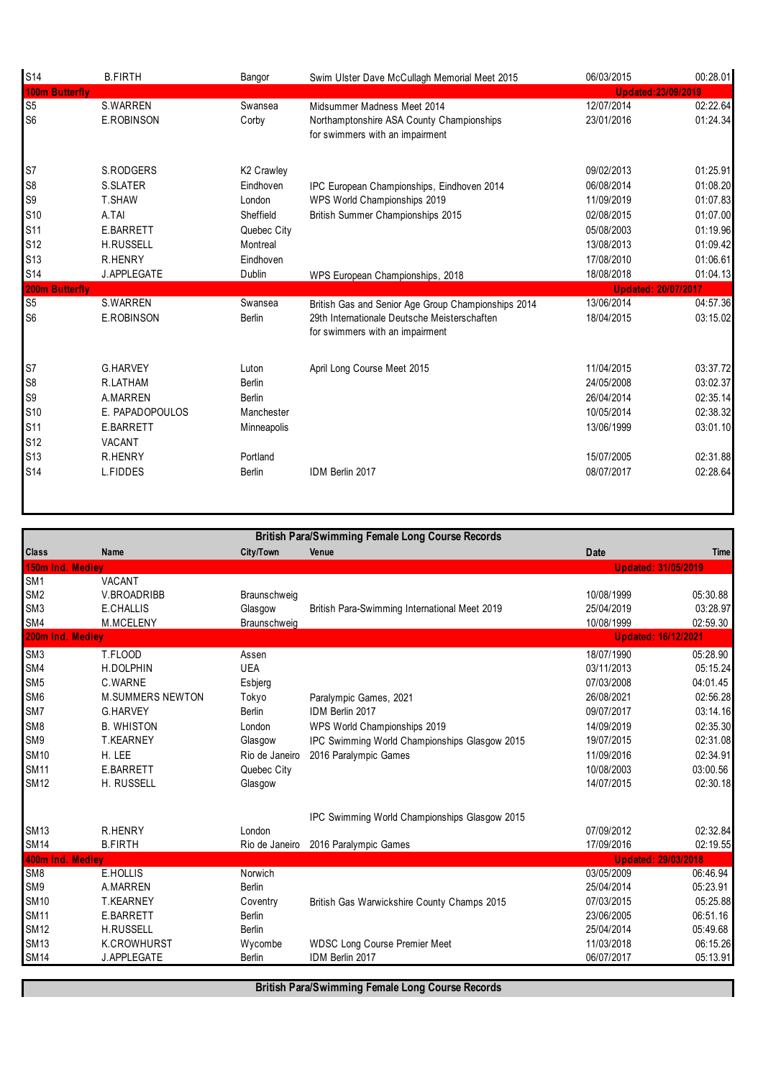| <b>S14</b>     | <b>B.FIRTH</b>   | Bangor        | Swim Ulster Dave McCullagh Memorial Meet 2015                                   | 06/03/2015                 | 00:28.01             |
|----------------|------------------|---------------|---------------------------------------------------------------------------------|----------------------------|----------------------|
| 100m Butterfly |                  |               |                                                                                 | <b>Updated:23/09/2019</b>  |                      |
| S <sub>5</sub> | <b>S.WARREN</b>  | Swansea       | Midsummer Madness Meet 2014                                                     | 12/07/2014                 | 02:22.64             |
| S <sub>6</sub> | E.ROBINSON       | Corby         | Northamptonshire ASA County Championships<br>for swimmers with an impairment    | 23/01/2016                 | 01:24.34             |
| S7             | S.RODGERS        | K2 Crawley    |                                                                                 | 09/02/2013                 | 01:25.91             |
| S <sub>8</sub> | S.SLATER         | Eindhoven     | IPC European Championships, Eindhoven 2014                                      | 06/08/2014                 | 01:08.20             |
| S <sub>9</sub> | <b>T.SHAW</b>    | London        | WPS World Championships 2019                                                    | 11/09/2019                 | 01:07.83             |
| S10            | A.TAI            | Sheffield     | British Summer Championships 2015                                               | 02/08/2015                 | 01:07.00             |
| <b>S11</b>     | <b>E.BARRETT</b> | Quebec City   |                                                                                 | 05/08/2003                 | 01:19.96             |
| S12            | H.RUSSELL        | Montreal      |                                                                                 | 13/08/2013                 | 01:09.42             |
| <b>S13</b>     | <b>R.HENRY</b>   | Eindhoven     |                                                                                 | 17/08/2010                 | 01:06.61             |
| <b>S14</b>     | J.APPLEGATE      | Dublin        | WPS European Championships, 2018                                                | 18/08/2018                 | 01:04.13             |
| 200m Butterfly |                  |               |                                                                                 | <b>Updated: 20/07/2017</b> |                      |
|                |                  |               |                                                                                 |                            |                      |
| S <sub>5</sub> | <b>S.WARREN</b>  | Swansea       | British Gas and Senior Age Group Championships 2014                             | 13/06/2014                 | 04:57.36             |
| S <sub>6</sub> | E.ROBINSON       | <b>Berlin</b> | 29th Internationale Deutsche Meisterschaften<br>for swimmers with an impairment | 18/04/2015                 |                      |
| S7             | <b>G.HARVEY</b>  | Luton         | April Long Course Meet 2015                                                     | 11/04/2015                 | 03:15.02<br>03:37.72 |
| S <sub>8</sub> | R.LATHAM         | Berlin        |                                                                                 | 24/05/2008                 | 03:02.37             |
| S <sub>9</sub> | A.MARREN         | <b>Berlin</b> |                                                                                 | 26/04/2014                 | 02:35.14             |
| S10            | E. PAPADOPOULOS  | Manchester    |                                                                                 | 10/05/2014                 | 02:38.32             |
| <b>S11</b>     | <b>E.BARRETT</b> | Minneapolis   |                                                                                 | 13/06/1999                 | 03:01.10             |
| S12            | <b>VACANT</b>    |               |                                                                                 |                            |                      |
| S13            | <b>R.HENRY</b>   | Portland      |                                                                                 | 15/07/2005                 | 02:31.88             |

|                  |                         |                | <b>British Para/Swimming Female Long Course Records</b> |                            |          |
|------------------|-------------------------|----------------|---------------------------------------------------------|----------------------------|----------|
| <b>Class</b>     | <b>Name</b>             | City/Town      | Venue                                                   | <b>Date</b>                | Time     |
| 150m             | Ind. Medlev             |                |                                                         | <b>Updated: 31/05/2019</b> |          |
| SM <sub>1</sub>  | VACANT                  |                |                                                         |                            |          |
| SM <sub>2</sub>  | V.BROADRIBB             | Braunschweig   |                                                         | 10/08/1999                 | 05:30.88 |
| SM <sub>3</sub>  | E.CHALLIS               | Glasgow        | British Para-Swimming International Meet 2019           | 25/04/2019                 | 03:28.97 |
| SM4              | M.MCELENY               | Braunschweig   |                                                         | 10/08/1999                 | 02:59.30 |
| 200m Ind. Medley |                         |                |                                                         | <b>Updated: 16/12/2021</b> |          |
| SM <sub>3</sub>  | T.FLOOD                 | Assen          |                                                         | 18/07/1990                 | 05:28.90 |
| SM4              | H.DOLPHIN               | <b>UEA</b>     |                                                         | 03/11/2013                 | 05:15.24 |
| SM <sub>5</sub>  | C.WARNE                 | Esbjerg        |                                                         | 07/03/2008                 | 04:01.45 |
| SM <sub>6</sub>  | <b>M.SUMMERS NEWTON</b> | Tokyo          | Paralympic Games, 2021                                  | 26/08/2021                 | 02:56.28 |
| SM7              | <b>G.HARVEY</b>         | <b>Berlin</b>  | IDM Berlin 2017                                         | 09/07/2017                 | 03:14.16 |
| SM <sub>8</sub>  | <b>B. WHISTON</b>       | London         | WPS World Championships 2019                            | 14/09/2019                 | 02:35.30 |
| SM9              | <b>T.KEARNEY</b>        | Glasgow        | IPC Swimming World Championships Glasgow 2015           | 19/07/2015                 | 02:31.08 |
| <b>SM10</b>      | H. LEE                  | Rio de Janeiro | 2016 Paralympic Games                                   | 11/09/2016                 | 02:34.91 |
| <b>SM11</b>      | E.BARRETT               | Quebec City    |                                                         | 10/08/2003                 | 03:00.56 |
| <b>SM12</b>      | H. RUSSELL              | Glasgow        |                                                         | 14/07/2015                 | 02:30.18 |
|                  |                         |                | <b>IPC Swimming World Championships Glasgow 2015</b>    |                            |          |
| <b>SM13</b>      | <b>R.HENRY</b>          | London         |                                                         | 07/09/2012                 | 02:32.84 |
| <b>SM14</b>      | <b>B.FIRTH</b>          | Rio de Janeiro | 2016 Paralympic Games                                   | 17/09/2016                 | 02:19.55 |
| 400m Ind. Medley |                         |                |                                                         | <b>Updated: 29/03/2018</b> |          |
| SM <sub>8</sub>  | E.HOLLIS                | Norwich        |                                                         | 03/05/2009                 | 06:46.94 |
| SM <sub>9</sub>  | A.MARREN                | <b>Berlin</b>  |                                                         | 25/04/2014                 | 05:23.91 |
| <b>SM10</b>      | <b>T.KEARNEY</b>        | Coventry       | British Gas Warwickshire County Champs 2015             | 07/03/2015                 | 05:25.88 |
| <b>SM11</b>      | <b>E.BARRETT</b>        | <b>Berlin</b>  |                                                         | 23/06/2005                 | 06:51.16 |
| <b>SM12</b>      | <b>H.RUSSELL</b>        | <b>Berlin</b>  |                                                         | 25/04/2014                 | 05:49.68 |
| <b>SM13</b>      | K.CROWHURST             | Wycombe        | <b>WDSC Long Course Premier Meet</b>                    | 11/03/2018                 | 06:15.26 |
| <b>SM14</b>      | J.APPLEGATE             | <b>Berlin</b>  | IDM Berlin 2017                                         | 06/07/2017                 | 05:13.91 |

**British Para/Swimming Female Long Course Records**

ſ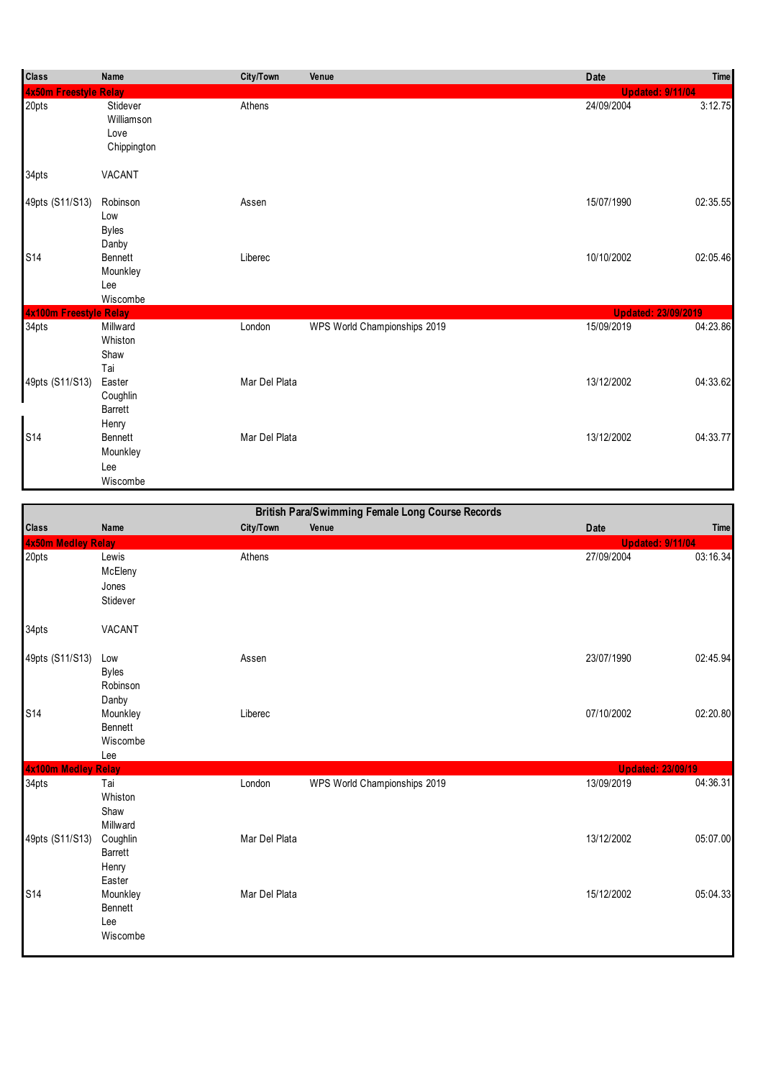| <b>Class</b>           | Name                                          | City/Town     | Venue                        | <b>Date</b>                | Time     |
|------------------------|-----------------------------------------------|---------------|------------------------------|----------------------------|----------|
| 4x50m Freestyle Relay  |                                               |               |                              | <b>Updated: 9/11/04</b>    |          |
| 20pts                  | Stidever<br>Williamson<br>Love<br>Chippington | Athens        |                              | 24/09/2004                 | 3:12.75  |
| 34pts                  | VACANT                                        |               |                              |                            |          |
| 49pts (S11/S13)        | Robinson<br>Low<br><b>Byles</b><br>Danby      | Assen         |                              | 15/07/1990                 | 02:35.55 |
| <b>S14</b>             | Bennett<br>Mounkley<br>Lee<br>Wiscombe        | Liberec       |                              | 10/10/2002                 | 02:05.46 |
| 4x100m Freestyle Relay |                                               |               |                              | <b>Updated: 23/09/2019</b> |          |
| 34pts                  | Millward<br>Whiston<br>Shaw<br>Tai            | London        | WPS World Championships 2019 | 15/09/2019                 | 04:23.86 |
| 49pts (S11/S13)        | Easter<br>Coughlin<br><b>Barrett</b><br>Henry | Mar Del Plata |                              | 13/12/2002                 | 04:33.62 |
| <b>S14</b>             | Bennett<br>Mounkley<br>Lee<br>Wiscombe        | Mar Del Plata |                              | 13/12/2002                 | 04:33.77 |

|                     |              |               | <b>British Para/Swimming Female Long Course Records</b> |                          |             |
|---------------------|--------------|---------------|---------------------------------------------------------|--------------------------|-------------|
| Class               | Name         | City/Town     | Venue                                                   | <b>Date</b>              | <b>Time</b> |
| 4x50m Medley Relay  |              |               |                                                         | <b>Updated: 9/11/04</b>  |             |
| 20pts               | Lewis        | Athens        |                                                         | 27/09/2004               | 03:16.34    |
|                     | McEleny      |               |                                                         |                          |             |
|                     | Jones        |               |                                                         |                          |             |
|                     | Stidever     |               |                                                         |                          |             |
| 34pts               | VACANT       |               |                                                         |                          |             |
| 49pts (S11/S13)     | Low          | Assen         |                                                         | 23/07/1990               | 02:45.94    |
|                     | <b>Byles</b> |               |                                                         |                          |             |
|                     | Robinson     |               |                                                         |                          |             |
|                     | Danby        |               |                                                         |                          |             |
| S14                 | Mounkley     | Liberec       |                                                         | 07/10/2002               | 02:20.80    |
|                     | Bennett      |               |                                                         |                          |             |
|                     | Wiscombe     |               |                                                         |                          |             |
| 4x100m Medley Relay | Lee          |               |                                                         | <b>Updated: 23/09/19</b> |             |
| 34pts               | Tai          | London        | WPS World Championships 2019                            | 13/09/2019               | 04:36.31    |
|                     | Whiston      |               |                                                         |                          |             |
|                     | Shaw         |               |                                                         |                          |             |
|                     | Millward     |               |                                                         |                          |             |
| 49pts (S11/S13)     | Coughlin     | Mar Del Plata |                                                         | 13/12/2002               | 05:07.00    |
|                     | Barrett      |               |                                                         |                          |             |
|                     | Henry        |               |                                                         |                          |             |
|                     | Easter       |               |                                                         |                          |             |
| S14                 | Mounkley     | Mar Del Plata |                                                         | 15/12/2002               | 05:04.33    |
|                     | Bennett      |               |                                                         |                          |             |
|                     | Lee          |               |                                                         |                          |             |
|                     | Wiscombe     |               |                                                         |                          |             |
|                     |              |               |                                                         |                          |             |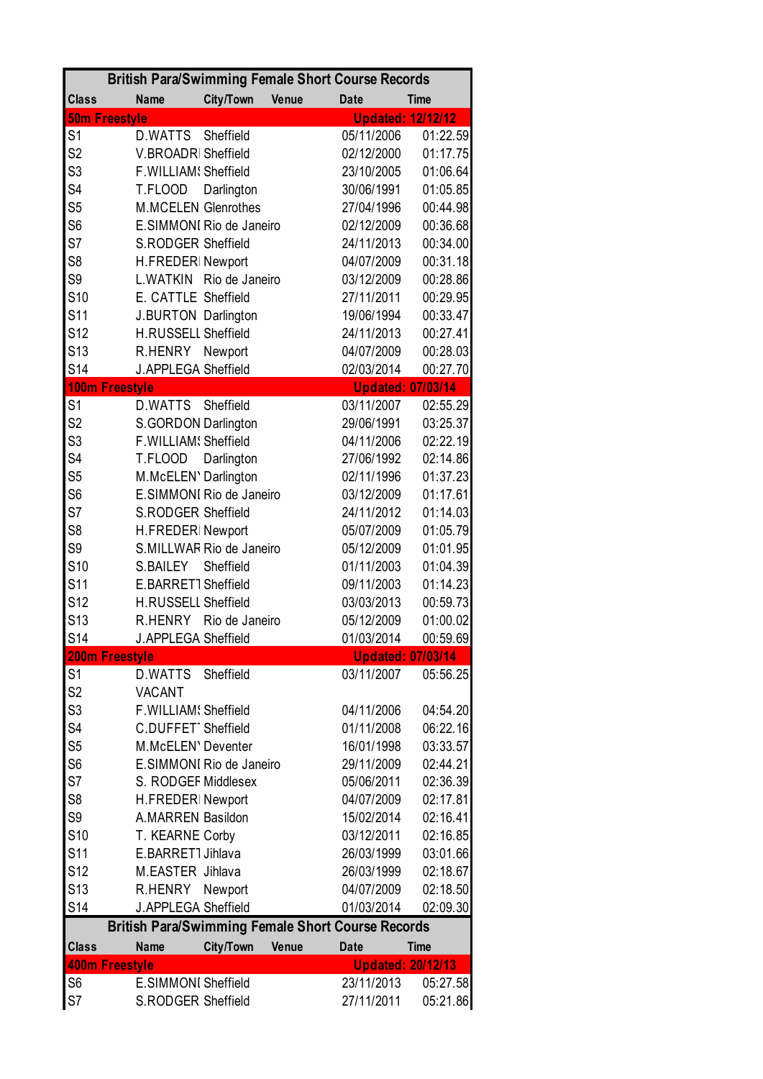|                       |                            |                |              | <b>British Para/Swimming Female Short Course Records</b> |                          |
|-----------------------|----------------------------|----------------|--------------|----------------------------------------------------------|--------------------------|
| <b>Class</b>          | <b>Name</b>                | City/Town      | <b>Venue</b> | <b>Date</b>                                              | <b>Time</b>              |
| <b>50m Freestyle</b>  |                            |                |              |                                                          | <b>Updated: 12/12/12</b> |
| S <sub>1</sub>        | <b>D.WATTS</b>             | Sheffield      |              | 05/11/2006                                               | 01:22.59                 |
| S <sub>2</sub>        | V.BROADRI Sheffield        |                |              | 02/12/2000                                               | 01:17.75                 |
| S <sub>3</sub>        | F.WILLIAM! Sheffield       |                |              | 23/10/2005                                               | 01:06.64                 |
| S <sub>4</sub>        | T.FLOOD                    | Darlington     |              | 30/06/1991                                               | 01:05.85                 |
| S <sub>5</sub>        | <b>M.MCELEN Glenrothes</b> |                |              | 27/04/1996                                               | 00:44.98                 |
| S <sub>6</sub>        | E.SIMMONI Rio de Janeiro   |                |              | 02/12/2009                                               | 00:36.68                 |
| S7                    | S.RODGER Sheffield         |                |              | 24/11/2013                                               | 00:34.00                 |
| S <sub>8</sub>        | H.FREDERINewport           |                |              | 04/07/2009                                               | 00:31.18                 |
| S <sub>9</sub>        | L.WATKIN                   | Rio de Janeiro |              | 03/12/2009                                               | 00:28.86                 |
| S <sub>10</sub>       | E. CATTLE Sheffield        |                |              | 27/11/2011                                               | 00:29.95                 |
| S11                   | <b>J.BURTON Darlington</b> |                |              | 19/06/1994                                               | 00:33.47                 |
| S <sub>12</sub>       | <b>H.RUSSELL Sheffield</b> |                |              | 24/11/2013                                               | 00:27.41                 |
| S <sub>13</sub>       | R.HENRY Newport            |                |              | 04/07/2009                                               | 00:28.03                 |
| S <sub>14</sub>       | J.APPLEGA Sheffield        |                |              | 02/03/2014                                               | 00:27.70                 |
| <b>100m Freestyle</b> |                            |                |              |                                                          | <b>Updated: 07/03/14</b> |
| S <sub>1</sub>        | D.WATTS                    | Sheffield      |              | 03/11/2007                                               | 02:55.29                 |
| S <sub>2</sub>        | S.GORDON Darlington        |                |              | 29/06/1991                                               | 03:25.37                 |
| S <sub>3</sub>        | F.WILLIAM! Sheffield       |                |              | 04/11/2006                                               | 02:22.19                 |
| S <sub>4</sub>        | T.FLOOD                    | Darlington     |              | 27/06/1992                                               | 02:14.86                 |
| S <sub>5</sub>        | M.McELEN' Darlington       |                |              | 02/11/1996                                               | 01:37.23                 |
| S <sub>6</sub>        | E.SIMMONI Rio de Janeiro   |                |              | 03/12/2009                                               | 01:17.61                 |
| S7                    | S.RODGER Sheffield         |                |              | 24/11/2012                                               | 01:14.03                 |
| S <sub>8</sub>        | H.FREDERINewport           |                |              | 05/07/2009                                               | 01:05.79                 |
| S <sub>9</sub>        | S.MILLWAR Rio de Janeiro   |                |              | 05/12/2009                                               | 01:01.95                 |
| <b>S10</b>            | S.BAILEY                   | Sheffield      |              | 01/11/2003                                               | 01:04.39                 |
| S <sub>11</sub>       | E.BARRET1 Sheffield        |                |              | 09/11/2003                                               | 01:14.23                 |
| S <sub>12</sub>       | <b>H.RUSSELL Sheffield</b> |                |              | 03/03/2013                                               | 00:59.73                 |
| S <sub>13</sub>       | R.HENRY                    | Rio de Janeiro |              | 05/12/2009                                               | 01:00.02                 |
| S <sub>14</sub>       | J.APPLEGA Sheffield        |                |              | 01/03/2014                                               | 00:59.69                 |
| 200m Freestyle        |                            |                |              |                                                          | <b>Updated: 07/03/14</b> |
| S <sub>1</sub>        | D.WATTS                    | Sheffield      |              | 03/11/2007                                               | 05:56.25                 |
| S <sub>2</sub>        | <b>VACANT</b>              |                |              |                                                          |                          |
| S <sub>3</sub>        | F.WILLIAM! Sheffield       |                |              | 04/11/2006                                               | 04:54.20                 |
| S <sub>4</sub>        | C.DUFFET1Sheffield         |                |              | 01/11/2008                                               | 06:22.16                 |
| S <sub>5</sub>        | M.McELEN' Deventer         |                |              | 16/01/1998                                               | 03:33.57                 |
| S <sub>6</sub>        | E.SIMMONI Rio de Janeiro   |                |              | 29/11/2009                                               | 02:44.21                 |
| S7                    | S. RODGEF Middlesex        |                |              | 05/06/2011                                               | 02:36.39                 |
| S <sub>8</sub>        | H.FREDERINewport           |                |              | 04/07/2009                                               | 02:17.81                 |
| S <sub>9</sub>        | A.MARREN Basildon          |                |              | 15/02/2014                                               | 02:16.41                 |
| S <sub>10</sub>       | T. KEARNE Corby            |                |              | 03/12/2011                                               | 02:16.85                 |
| S <sub>11</sub>       | E.BARRET1 Jihlava          |                |              | 26/03/1999                                               | 03:01.66                 |
| S <sub>12</sub>       | M.EASTER Jihlava           |                |              | 26/03/1999                                               | 02:18.67                 |
| S <sub>13</sub>       | R.HENRY                    | Newport        |              | 04/07/2009                                               | 02:18.50                 |
| S <sub>14</sub>       | J.APPLEGA Sheffield        |                |              | 01/03/2014                                               | 02:09.30                 |
|                       |                            |                |              | <b>British Para/Swimming Female Short Course Records</b> |                          |
| <b>Class</b>          | <b>Name</b>                | City/Town      | Venue        | <b>Date</b>                                              | <b>Time</b>              |
| <b>400m Freestyle</b> |                            |                |              |                                                          | <b>Updated: 20/12/13</b> |
| S <sub>6</sub>        | <b>E.SIMMONI Sheffield</b> |                |              | 23/11/2013                                               | 05:27.58                 |
| S7                    | S.RODGER Sheffield         |                |              | 27/11/2011                                               | 05:21.86                 |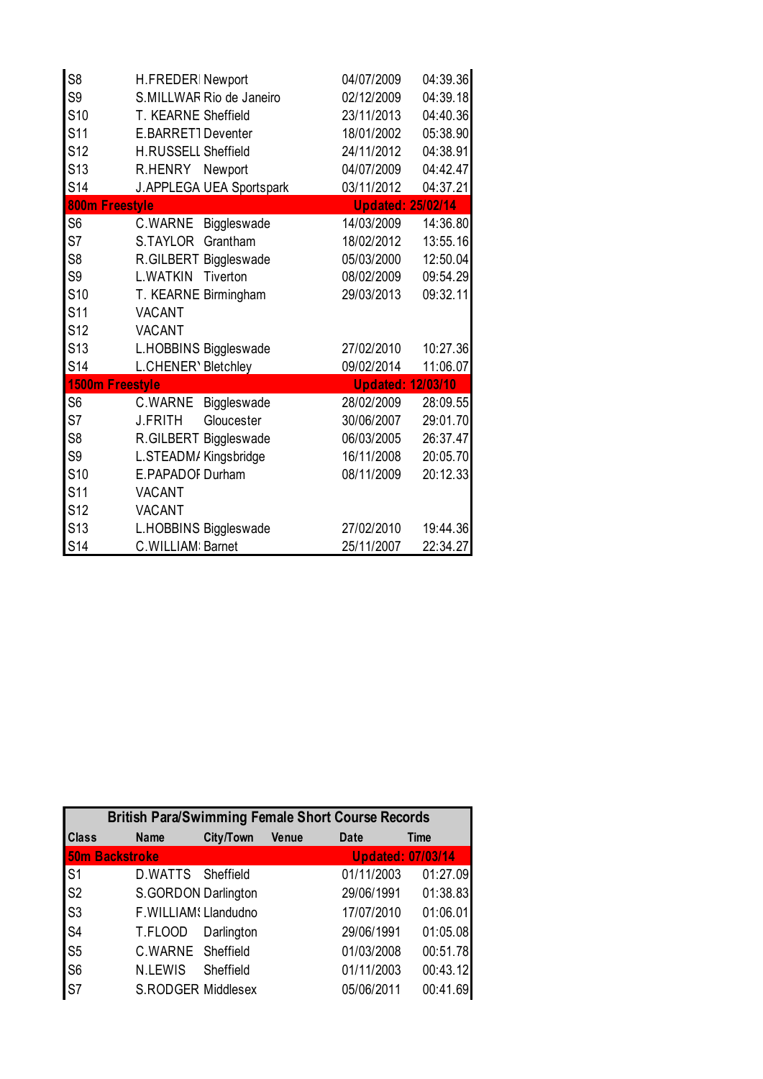| S <sub>8</sub>  | H.FREDERINewport             | 04/07/2009               | 04:39.36 |
|-----------------|------------------------------|--------------------------|----------|
| S <sub>9</sub>  | S.MILLWAR Rio de Janeiro     | 02/12/2009               | 04:39.18 |
| S <sub>10</sub> | T. KEARNE Sheffield          | 23/11/2013               | 04:40.36 |
| S <sub>11</sub> | E.BARRET1Deventer            | 18/01/2002               | 05:38.90 |
| S <sub>12</sub> | <b>H.RUSSELL Sheffield</b>   | 24/11/2012               | 04:38.91 |
| S <sub>13</sub> | R.HENRY<br>Newport           | 04/07/2009               | 04:42.47 |
| S <sub>14</sub> | J.APPLEGA UEA Sportspark     | 03/11/2012               | 04:37.21 |
| 800m Freestyle  |                              | <b>Updated: 25/02/14</b> |          |
| S <sub>6</sub>  | C.WARNE<br>Biggleswade       | 14/03/2009               | 14:36.80 |
| S7              | S.TAYLOR<br>Grantham         | 18/02/2012               | 13:55.16 |
| S8              | R.GILBERT Biggleswade        | 05/03/2000               | 12:50.04 |
| S <sub>9</sub>  | L.WATKIN<br>Tiverton         | 08/02/2009               | 09:54.29 |
| S <sub>10</sub> | T. KEARNE Birmingham         | 29/03/2013               | 09:32.11 |
| S <sub>11</sub> | <b>VACANT</b>                |                          |          |
| S <sub>12</sub> | <b>VACANT</b>                |                          |          |
| S <sub>13</sub> | L.HOBBINS Biggleswade        | 27/02/2010               | 10:27.36 |
| S <sub>14</sub> | L.CHENER' Bletchley          | 09/02/2014               | 11:06.07 |
|                 | 1500m Freestyle              | <b>Updated: 12/03/10</b> |          |
| S <sub>6</sub>  | C.WARNE<br>Biggleswade       | 28/02/2009               | 28:09.55 |
| S7              | <b>J.FRITH</b><br>Gloucester | 30/06/2007               | 29:01.70 |
| S <sub>8</sub>  | R.GILBERT Biggleswade        | 06/03/2005               | 26:37.47 |
| S <sub>9</sub>  | L.STEADM/Kingsbridge         | 16/11/2008               | 20:05.70 |
| S <sub>10</sub> | E.PAPADOF Durham             | 08/11/2009               | 20:12.33 |
| S <sub>11</sub> | <b>VACANT</b>                |                          |          |
| <b>S12</b>      | <b>VACANT</b>                |                          |          |
| S <sub>13</sub> | L.HOBBINS Biggleswade        | 27/02/2010               | 19:44.36 |
| S <sub>14</sub> | C. WILLIAM: Barnet           | 25/11/2007               | 22:34.27 |

| <b>British Para/Swimming Female Short Course Records</b> |                      |            |       |                          |             |  |
|----------------------------------------------------------|----------------------|------------|-------|--------------------------|-------------|--|
| <b>Class</b>                                             | <b>Name</b>          | City/Town  | Venue | Date                     | <b>Time</b> |  |
| <b>50m Backstroke</b>                                    |                      |            |       | <b>Updated: 07/03/14</b> |             |  |
| S <sub>1</sub>                                           | D.WATTS Sheffield    |            |       | 01/11/2003               | 01:27.09    |  |
| S <sub>2</sub>                                           | S.GORDON Darlington  |            |       | 29/06/1991               | 01:38.83    |  |
| S <sub>3</sub>                                           | F.WILLIAM! Llandudno |            |       | 17/07/2010               | 01:06.01    |  |
| S <sub>4</sub>                                           | T.FLOOD              | Darlington |       | 29/06/1991               | 01:05.08    |  |
| S <sub>5</sub>                                           | C.WARNE Sheffield    |            |       | 01/03/2008               | 00:51.78    |  |
| S <sub>6</sub>                                           | N.LEWIS              | Sheffield  |       | 01/11/2003               | 00:43.12    |  |
| S7                                                       | S.RODGER Middlesex   |            |       | 05/06/2011               | 00:41.69    |  |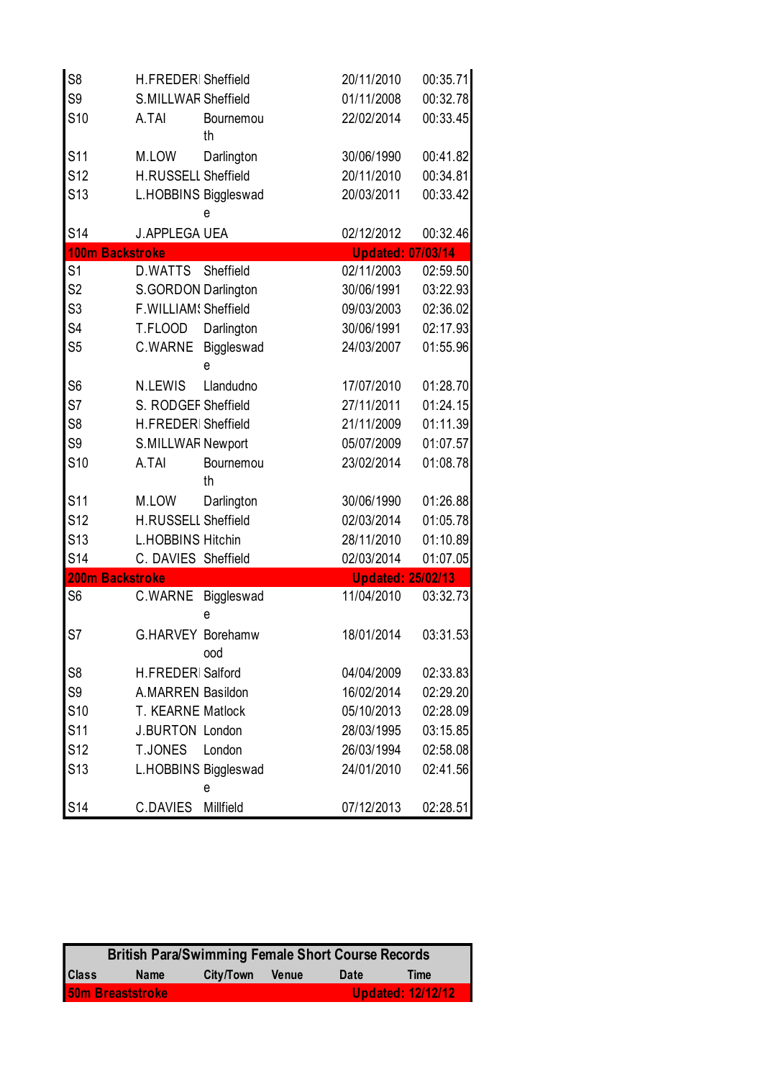| S <sub>8</sub>  | H.FREDERI Sheffield         | 20/11/2010               | 00:35.71 |
|-----------------|-----------------------------|--------------------------|----------|
| S <sub>9</sub>  | S.MILLWAR Sheffield         | 01/11/2008               | 00:32.78 |
| S <sub>10</sub> | A.TAI<br>Bournemou<br>th    | 22/02/2014               | 00:33.45 |
| S <sub>11</sub> | M.LOW<br>Darlington         | 30/06/1990               | 00:41.82 |
| S <sub>12</sub> | H.RUSSELL Sheffield         | 20/11/2010               | 00:34.81 |
| S <sub>13</sub> | L.HOBBINS Biggleswad<br>e   | 20/03/2011               | 00:33.42 |
| <b>S14</b>      | <b>J.APPLEGA UEA</b>        | 02/12/2012               | 00:32.46 |
|                 | <b>100m Backstroke</b>      | <b>Updated: 07/03/14</b> |          |
| S <sub>1</sub>  | Sheffield<br><b>D.WATTS</b> | 02/11/2003               | 02:59.50 |
| S <sub>2</sub>  | S.GORDON Darlington         | 30/06/1991               | 03:22.93 |
| S <sub>3</sub>  | F.WILLIAM! Sheffield        | 09/03/2003               | 02:36.02 |
| S4              | T.FLOOD<br>Darlington       | 30/06/1991               | 02:17.93 |
| S <sub>5</sub>  | C.WARNE<br>Biggleswad<br>e  | 24/03/2007               | 01:55.96 |
| S <sub>6</sub>  | <b>N.LEWIS</b><br>Llandudno | 17/07/2010               | 01:28.70 |
| S7              | S. RODGEF Sheffield         | 27/11/2011               | 01:24.15 |
| S <sub>8</sub>  | H.FREDERI Sheffield         | 21/11/2009               | 01:11.39 |
| S <sub>9</sub>  | <b>S.MILLWAR Newport</b>    | 05/07/2009               | 01:07.57 |
| S <sub>10</sub> | A.TAI<br>Bournemou<br>th    | 23/02/2014               | 01:08.78 |
| S <sub>11</sub> | Darlington<br>M.LOW         | 30/06/1990               | 01:26.88 |
| S <sub>12</sub> | H.RUSSELL Sheffield         | 02/03/2014               | 01:05.78 |
| S <sub>13</sub> | <b>L.HOBBINS Hitchin</b>    | 28/11/2010               | 01:10.89 |
| <b>S14</b>      | C. DAVIES Sheffield         | 02/03/2014               | 01:07.05 |
|                 | 200m Backstroke             | <b>Updated: 25/02/13</b> |          |
| S <sub>6</sub>  | C.WARNE<br>Biggleswad<br>e  | 11/04/2010               | 03:32.73 |
| S7              | G.HARVEY Borehamw<br>ood    | 18/01/2014               | 03:31.53 |
| S <sub>8</sub>  | H.FREDERI Salford           | 04/04/2009               | 02:33.83 |
| S9              | A.MARREN Basildon           | 16/02/2014               | 02:29.20 |
| S <sub>10</sub> | T. KEARNE Matlock           | 05/10/2013               | 02:28.09 |
| S <sub>11</sub> | <b>J.BURTON London</b>      | 28/03/1995               | 03:15.85 |
| S <sub>12</sub> | <b>T.JONES</b><br>London    | 26/03/1994               | 02:58.08 |
| S <sub>13</sub> | L.HOBBINS Biggleswad<br>е   | 24/01/2010               | 02:41.56 |
| S <sub>14</sub> | C.DAVIES<br>Millfield       | 07/12/2013               | 02:28.51 |

|              | <b>British Para/Swimming Female Short Course Records</b> |           |              |      |                   |  |  |
|--------------|----------------------------------------------------------|-----------|--------------|------|-------------------|--|--|
| <b>Class</b> | <b>Name</b>                                              | City/Town | <b>Venue</b> | Date | <b>Time</b>       |  |  |
|              | 50m Breaststroke                                         |           |              |      | Updated: 12/12/12 |  |  |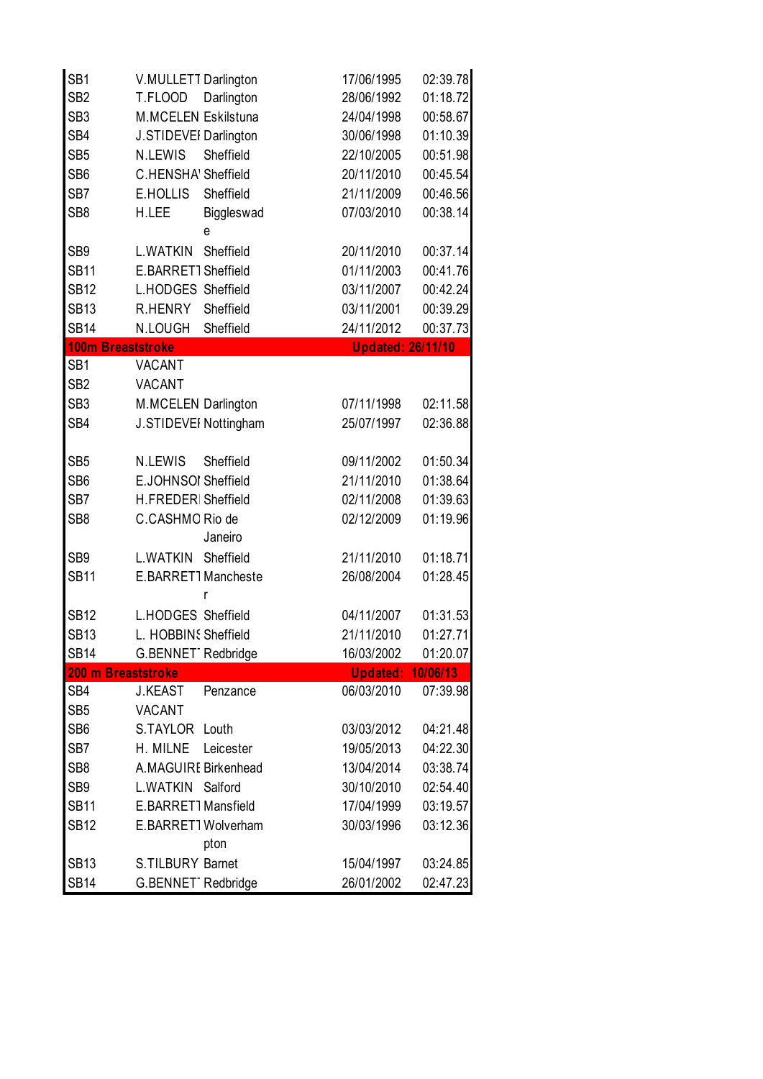| SB <sub>1</sub> | V.MULLETT Darlington         | 17/06/1995               | 02:39.78 |
|-----------------|------------------------------|--------------------------|----------|
| SB <sub>2</sub> | Darlington<br>T.FLOOD        | 28/06/1992               | 01:18.72 |
| SB <sub>3</sub> | M.MCELEN Eskilstuna          | 24/04/1998               | 00:58.67 |
| SB4             | J.STIDEVEI Darlington        | 30/06/1998               | 01:10.39 |
| SB <sub>5</sub> | Sheffield<br>N.LEWIS         | 22/10/2005               | 00:51.98 |
| SB <sub>6</sub> | C.HENSHA' Sheffield          | 20/11/2010               | 00:45.54 |
| SB7             | Sheffield<br><b>E.HOLLIS</b> | 21/11/2009               | 00:46.56 |
| SB <sub>8</sub> | H.LEE<br>Biggleswad<br>e     | 07/03/2010               | 00:38.14 |
| SB <sub>9</sub> | L.WATKIN<br>Sheffield        | 20/11/2010               | 00:37.14 |
| <b>SB11</b>     | E.BARRET1 Sheffield          | 01/11/2003               | 00:41.76 |
| <b>SB12</b>     | L.HODGES Sheffield           | 03/11/2007               | 00:42.24 |
| <b>SB13</b>     | Sheffield<br>R.HENRY         | 03/11/2001               | 00:39.29 |
| <b>SB14</b>     | N.LOUGH<br>Sheffield         | 24/11/2012               | 00:37.73 |
|                 | 100m Breaststroke            | <b>Updated: 26/11/10</b> |          |
| SB <sub>1</sub> | <b>VACANT</b>                |                          |          |
| SB <sub>2</sub> | <b>VACANT</b>                |                          |          |
| SB <sub>3</sub> | M.MCELEN Darlington          | 07/11/1998               | 02:11.58 |
| SB4             | J.STIDEVEI Nottingham        | 25/07/1997               | 02:36.88 |
| SB <sub>5</sub> | N.LEWIS<br>Sheffield         | 09/11/2002               | 01:50.34 |
| SB <sub>6</sub> | E.JOHNSOI Sheffield          | 21/11/2010               | 01:38.64 |
| SB7             | H.FREDERI Sheffield          | 02/11/2008               | 01:39.63 |
| SB <sub>8</sub> | C.CASHMO Rio de<br>Janeiro   | 02/12/2009               | 01:19.96 |
| SB <sub>9</sub> | L.WATKIN Sheffield           | 21/11/2010               | 01:18.71 |
| <b>SB11</b>     | E.BARRET1Mancheste<br>r      | 26/08/2004               | 01:28.45 |
| <b>SB12</b>     | L.HODGES Sheffield           | 04/11/2007               | 01:31.53 |
| <b>SB13</b>     | L. HOBBINS Sheffield         | 21/11/2010               | 01:27.71 |
| <b>SB14</b>     | G.BENNET1Redbridge           | 16/03/2002               | 01:20.07 |
|                 | 200 m Breaststroke           | <b>Updated: 10/06/13</b> |          |
| SB4             | <b>J.KEAST</b><br>Penzance   | 06/03/2010               | 07:39.98 |
| SB <sub>5</sub> | <b>VACANT</b>                |                          |          |
| SB <sub>6</sub> | S.TAYLOR Louth               | 03/03/2012               | 04:21.48 |
| SB7             | H. MILNE<br>Leicester        | 19/05/2013               | 04:22.30 |
| SB <sub>8</sub> | A.MAGUIRE Birkenhead         | 13/04/2014               | 03:38.74 |
| SB <sub>9</sub> | L.WATKIN<br>Salford          | 30/10/2010               | 02:54.40 |
| <b>SB11</b>     | E.BARRET1 Mansfield          | 17/04/1999               | 03:19.57 |
| <b>SB12</b>     | E.BARRET1Wolverham<br>pton   | 30/03/1996               | 03:12.36 |
| <b>SB13</b>     | S.TILBURY Barnet             | 15/04/1997               | 03:24.85 |
| <b>SB14</b>     | G.BENNET1Redbridge           | 26/01/2002               | 02:47.23 |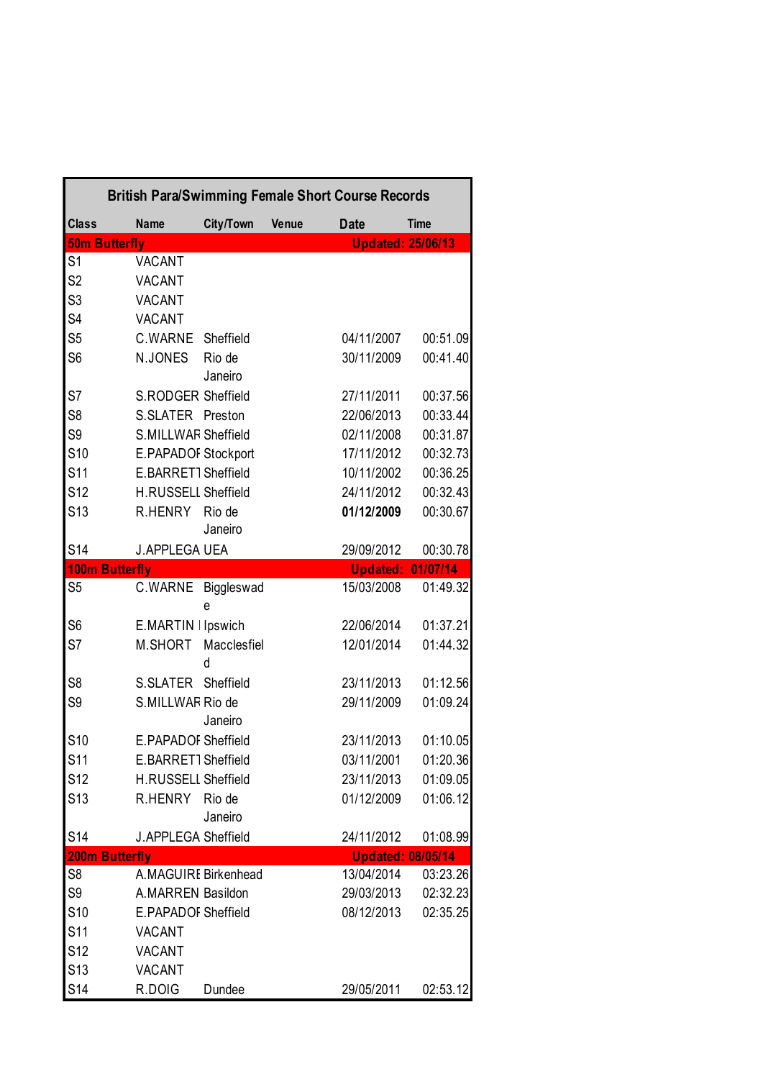|                       | <b>British Para/Swimming Female Short Course Records</b> |                   |       |             |                          |
|-----------------------|----------------------------------------------------------|-------------------|-------|-------------|--------------------------|
| <b>Class</b>          | <b>Name</b>                                              | City/Town         | Venue | <b>Date</b> | <b>Time</b>              |
| <b>50m Butterfly</b>  |                                                          |                   |       |             | <b>Updated: 25/06/13</b> |
| S <sub>1</sub>        | <b>VACANT</b>                                            |                   |       |             |                          |
| S <sub>2</sub>        | <b>VACANT</b>                                            |                   |       |             |                          |
| S <sub>3</sub>        | <b>VACANT</b>                                            |                   |       |             |                          |
| S <sub>4</sub>        | <b>VACANT</b>                                            |                   |       |             |                          |
| S <sub>5</sub>        | C.WARNE                                                  | Sheffield         |       | 04/11/2007  | 00:51.09                 |
| S <sub>6</sub>        | N.JONES                                                  | Rio de<br>Janeiro |       | 30/11/2009  | 00:41.40                 |
| S7                    | S.RODGER Sheffield                                       |                   |       | 27/11/2011  | 00:37.56                 |
| S <sub>8</sub>        | S.SLATER                                                 | Preston           |       | 22/06/2013  | 00:33.44                 |
| S <sub>9</sub>        | S.MILLWAR Sheffield                                      |                   |       | 02/11/2008  | 00:31.87                 |
| S <sub>10</sub>       | E.PAPADOF Stockport                                      |                   |       | 17/11/2012  | 00:32.73                 |
| S <sub>11</sub>       | E.BARRET1 Sheffield                                      |                   |       | 10/11/2002  | 00:36.25                 |
| <b>S12</b>            | <b>H.RUSSELL Sheffield</b>                               |                   |       | 24/11/2012  | 00:32.43                 |
| S <sub>13</sub>       | R.HENRY                                                  | Rio de<br>Janeiro |       | 01/12/2009  | 00:30.67                 |
| S <sub>14</sub>       | <b>J.APPLEGA UEA</b>                                     |                   |       | 29/09/2012  | 00:30.78                 |
| <b>100m Butterfly</b> |                                                          |                   |       |             | <b>Updated: 01/07/14</b> |
| S <sub>5</sub>        | C.WARNE                                                  | Biggleswad<br>e   |       | 15/03/2008  | 01:49.32                 |
| S <sub>6</sub>        | E.MARTIN I Ipswich                                       |                   |       | 22/06/2014  | 01:37.21                 |
| S7                    | M.SHORT                                                  | Macclesfiel<br>d  |       | 12/01/2014  | 01:44.32                 |
| S <sub>8</sub>        | S.SLATER                                                 | Sheffield         |       | 23/11/2013  | 01:12.56                 |
| S <sub>9</sub>        | S.MILLWAR Rio de                                         | Janeiro           |       | 29/11/2009  | 01:09.24                 |
| S <sub>10</sub>       | E.PAPADOF Sheffield                                      |                   |       | 23/11/2013  | 01:10.05                 |
| S <sub>11</sub>       | E.BARRET1 Sheffield                                      |                   |       | 03/11/2001  | 01:20.36                 |
| S <sub>12</sub>       | <b>H.RUSSELL Sheffield</b>                               |                   |       | 23/11/2013  | 01:09.05                 |
| S <sub>13</sub>       | R.HENRY                                                  | Rio de<br>Janeiro |       | 01/12/2009  | 01:06.12                 |
| <b>S14</b>            | <b>J.APPLEGA Sheffield</b>                               |                   |       | 24/11/2012  | 01:08.99                 |
| <b>200m Butterfly</b> |                                                          |                   |       |             | <b>Updated: 08/05/14</b> |
| S <sub>8</sub>        | A.MAGUIRE Birkenhead                                     |                   |       | 13/04/2014  | 03:23.26                 |
| S9                    | A.MARREN Basildon                                        |                   |       | 29/03/2013  | 02:32.23                 |
| <b>S10</b>            | E.PAPADOF Sheffield                                      |                   |       | 08/12/2013  | 02:35.25                 |
| S <sub>11</sub>       | <b>VACANT</b>                                            |                   |       |             |                          |
| S12                   | <b>VACANT</b>                                            |                   |       |             |                          |
| S <sub>13</sub>       | <b>VACANT</b>                                            |                   |       |             |                          |
| <b>S14</b>            | R.DOIG                                                   | Dundee            |       | 29/05/2011  | 02:53.12                 |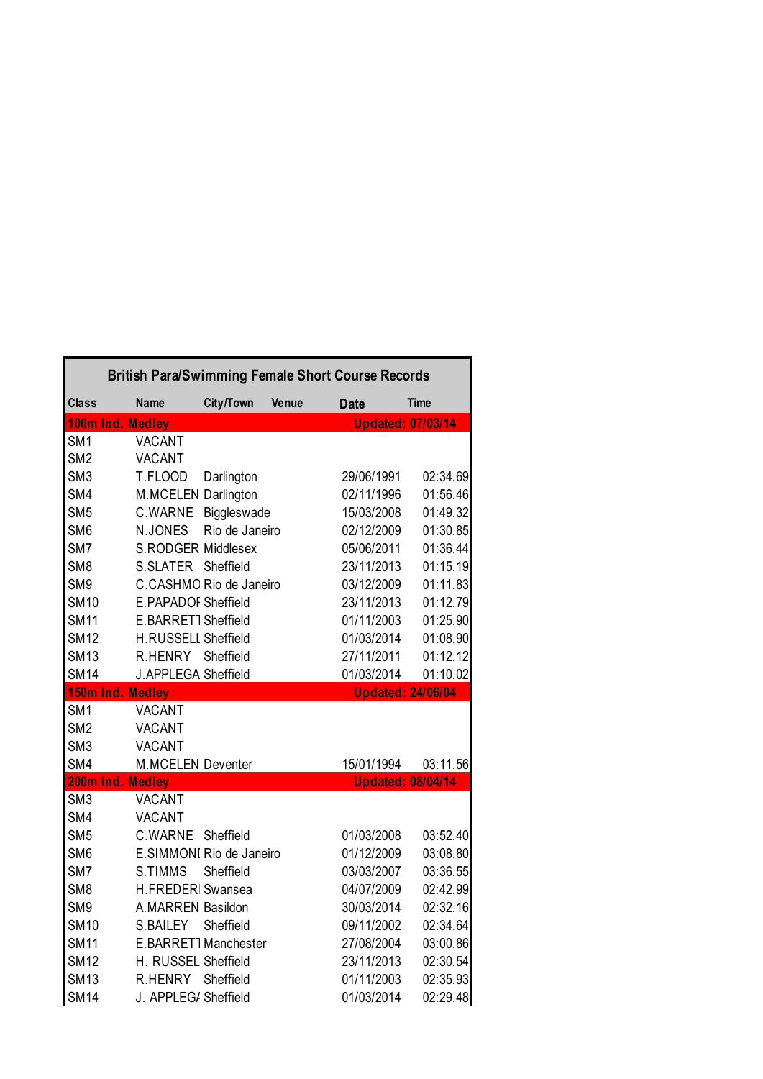|                            | <b>British Para/Swimming Female Short Course Records</b> |                          |              |                          |                          |
|----------------------------|----------------------------------------------------------|--------------------------|--------------|--------------------------|--------------------------|
| <b>Class</b>               | <b>Name</b>                                              | City/Town                | <b>Venue</b> | <b>Date</b>              | <b>Time</b>              |
| 100m Ind. Medley           |                                                          |                          |              |                          | <b>Updated: 07/03/14</b> |
| SM <sub>1</sub>            | <b>VACANT</b>                                            |                          |              |                          |                          |
| SM <sub>2</sub>            | <b>VACANT</b>                                            |                          |              |                          |                          |
| SM <sub>3</sub>            | T.FLOOD                                                  | Darlington               |              | 29/06/1991               | 02:34.69                 |
| SM4                        | M.MCELEN Darlington                                      |                          |              | 02/11/1996               | 01:56.46                 |
| SM <sub>5</sub>            | C.WARNE                                                  | Biggleswade              |              | 15/03/2008               | 01:49.32                 |
| SM <sub>6</sub>            | N.JONES                                                  | Rio de Janeiro           |              | 02/12/2009               | 01:30.85                 |
| SM7                        | <b>S.RODGER Middlesex</b>                                |                          |              | 05/06/2011               | 01:36.44                 |
| SM <sub>8</sub>            | S.SLATER Sheffield                                       |                          |              | 23/11/2013               | 01:15.19                 |
| SM <sub>9</sub>            |                                                          | C.CASHMO Rio de Janeiro  |              | 03/12/2009               | 01:11.83                 |
| <b>SM10</b>                | E.PAPADOF Sheffield                                      |                          |              | 23/11/2013               | 01:12.79                 |
| <b>SM11</b>                | E.BARRET1 Sheffield                                      |                          |              | 01/11/2003               | 01:25.90                 |
| <b>SM12</b>                | H.RUSSELL Sheffield                                      |                          |              | 01/03/2014               | 01:08.90                 |
| <b>SM13</b>                | R.HENRY                                                  | Sheffield                |              | 27/11/2011               | 01:12.12                 |
| <b>SM14</b>                | <b>J.APPLEGA Sheffield</b>                               |                          |              | 01/03/2014               | 01:10.02                 |
|                            |                                                          |                          |              |                          |                          |
| 150m Ind. Medley           |                                                          |                          |              |                          | <b>Updated: 24/06/04</b> |
| SM <sub>1</sub>            | <b>VACANT</b>                                            |                          |              |                          |                          |
| SM <sub>2</sub>            | <b>VACANT</b>                                            |                          |              |                          |                          |
| SM <sub>3</sub>            | <b>VACANT</b>                                            |                          |              |                          |                          |
| SM4                        | <b>M.MCELEN Deventer</b>                                 |                          |              | 15/01/1994               | 03:11.56                 |
| 200m Ind. Medley           |                                                          |                          |              |                          | <b>Updated: 08/04/14</b> |
| SM <sub>3</sub>            | <b>VACANT</b>                                            |                          |              |                          |                          |
| SM4                        | <b>VACANT</b>                                            |                          |              |                          |                          |
| SM <sub>5</sub>            | C.WARNE                                                  | Sheffield                |              | 01/03/2008               | 03:52.40                 |
| SM <sub>6</sub>            |                                                          | E.SIMMONI Rio de Janeiro |              | 01/12/2009               | 03:08.80                 |
| SM7                        | S.TIMMS                                                  | Sheffield                |              | 03/03/2007               | 03:36.55                 |
| SM <sub>8</sub>            | H.FREDERI Swansea                                        |                          |              | 04/07/2009               | 02:42.99                 |
| SM <sub>9</sub>            | A.MARREN Basildon                                        |                          |              | 30/03/2014               | 02:32.16                 |
| <b>SM10</b>                | S.BAILEY                                                 | Sheffield                |              | 09/11/2002               | 02:34.64                 |
| <b>SM11</b>                |                                                          | E.BARRET1Manchester      |              | 27/08/2004               | 03:00.86                 |
| <b>SM12</b>                | H. RUSSEL Sheffield                                      |                          |              | 23/11/2013               | 02:30.54                 |
| <b>SM13</b><br><b>SM14</b> | <b>R.HENRY</b><br>J. APPLEG/ Sheffield                   | Sheffield                |              | 01/11/2003<br>01/03/2014 | 02:35.93<br>02:29.48     |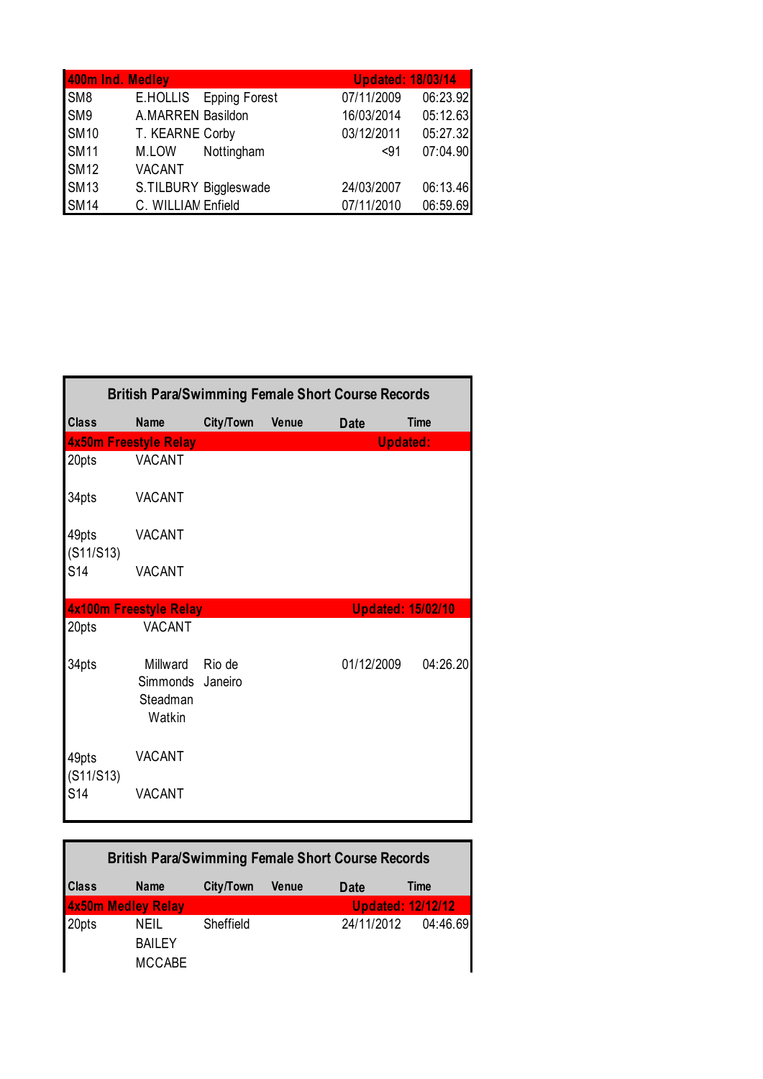| 400m Ind. Medley |                        | <b>Updated: 18/03/14</b> |  |
|------------------|------------------------|--------------------------|--|
| SM8              | E.HOLLIS Epping Forest | 07/11/2009<br>06:23.92   |  |
| SM9              | A.MARREN Basildon      | 05:12.63<br>16/03/2014   |  |
| <b>SM10</b>      | T. KEARNE Corby        | 05:27.32<br>03/12/2011   |  |
| <b>SM11</b>      | Nottingham<br>M.LOW    | 07:04.90<br>$91$         |  |
| <b>SM12</b>      | <b>VACANT</b>          |                          |  |
| <b>SM13</b>      | S.TILBURY Biggleswade  | 06:13.46<br>24/03/2007   |  |
| <b>SM14</b>      | C. WILLIAM Enfield     | 06:59.69<br>07/11/2010   |  |

|                    | <b>British Para/Swimming Female Short Course Records</b> |           |              |             |                          |  |
|--------------------|----------------------------------------------------------|-----------|--------------|-------------|--------------------------|--|
| <b>Class</b>       | <b>Name</b>                                              | City/Town | <b>Venue</b> | <b>Date</b> | <b>Time</b>              |  |
|                    | 4x50m Freestyle Relay                                    |           |              |             | <b>Updated:</b>          |  |
| 20pts              | <b>VACANT</b>                                            |           |              |             |                          |  |
| 34pts              | <b>VACANT</b>                                            |           |              |             |                          |  |
| 49pts<br>(S11/S13) | <b>VACANT</b>                                            |           |              |             |                          |  |
| S <sub>14</sub>    | <b>VACANT</b>                                            |           |              |             |                          |  |
|                    | <b>4x100m Freestyle Relay</b>                            |           |              |             | <b>Updated: 15/02/10</b> |  |
| 20pts              | VACANT                                                   |           |              |             |                          |  |
| 34pts              | Millward<br>Simmonds Janeiro<br>Steadman<br>Watkin       | Rio de    |              | 01/12/2009  | 04:26.20                 |  |
| 49pts<br>(S11/S13) | <b>VACANT</b>                                            |           |              |             |                          |  |
| S <sub>14</sub>    | <b>VACANT</b>                                            |           |              |             |                          |  |

| <b>British Para/Swimming Female Short Course Records</b> |                                               |           |              |             |                          |
|----------------------------------------------------------|-----------------------------------------------|-----------|--------------|-------------|--------------------------|
| <b>Class</b>                                             | <b>Name</b>                                   | City/Town | <b>Venue</b> | <b>Date</b> | Time                     |
| <b>4x50m Medley Relay</b>                                |                                               |           |              |             | <b>Updated: 12/12/12</b> |
| 20pts                                                    | <b>NEIL</b><br><b>BAILEY</b><br><b>MCCABE</b> | Sheffield |              | 24/11/2012  | 04:46.69                 |